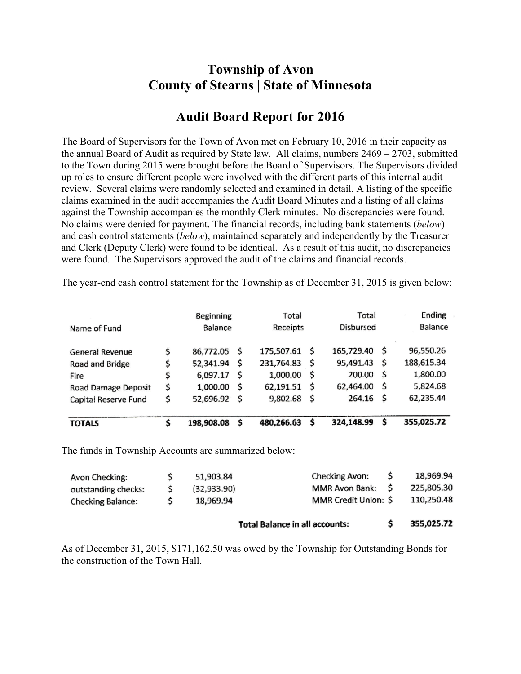## **Township of Avon County of Stearns | State of Minnesota**

## **Audit Board Report for 2016**

The Board of Supervisors for the Town of Avon met on February 10, 2016 in their capacity as the annual Board of Audit as required by State law. All claims, numbers 2469 – 2703, submitted to the Town during 2015 were brought before the Board of Supervisors. The Supervisors divided up roles to ensure different people were involved with the different parts of this internal audit review. Several claims were randomly selected and examined in detail. A listing of the specific claims examined in the audit accompanies the Audit Board Minutes and a listing of all claims against the Township accompanies the monthly Clerk minutes. No discrepancies were found. No claims were denied for payment. The financial records, including bank statements (*below*) and cash control statements (*below*), maintained separately and independently by the Treasurer and Clerk (Deputy Clerk) were found to be identical. As a result of this audit, no discrepancies were found. The Supervisors approved the audit of the claims and financial records.

|                      | Beginning       |     | Total      |    | Total      |    | Ending     |  |
|----------------------|-----------------|-----|------------|----|------------|----|------------|--|
| Name of Fund         | Balance         |     | Receipts   |    | Disbursed  |    | Balance    |  |
| General Revenue      | \$<br>86,772.05 | \$  | 175,507.61 | Ŝ  | 165,729.40 | -S | 96,550.26  |  |
| Road and Bridge      | 52,341.94       | S   | 231,764.83 | -S | 95,491.43  | \$ | 188,615.34 |  |
| Fire                 | \$<br>6,097.17  | \$  | 1,000.00   | \$ | 200.00     | \$ | 1,800.00   |  |
| Road Damage Deposit  | \$<br>1,000.00  | \$. | 62,191.51  | \$ | 62,464.00  | S  | 5,824.68   |  |
| Capital Reserve Fund | \$<br>52,696.92 | -S  | 9,802.68   | -S | 264.16     | S  | 62,235.44  |  |
| <b>TOTALS</b>        | 198,908.08      | Ś   | 480,266.63 | \$ | 324,148.99 | \$ | 355,025.72 |  |

The year-end cash control statement for the Township as of December 31, 2015 is given below:

The funds in Township Accounts are summarized below:

|                          |              | <b>Total Balance in all accounts:</b> |  | 355,025.72 |
|--------------------------|--------------|---------------------------------------|--|------------|
| <b>Checking Balance:</b> | 18,969.94    | MMR Credit Union: \$                  |  | 110,250.48 |
| outstanding checks:      | (32, 933.90) | MMR Avon Bank: \$                     |  | 225,805.30 |
| Avon Checking:           | 51,903.84    | <b>Checking Avon:</b>                 |  | 18,969.94  |

As of December 31, 2015, \$171,162.50 was owed by the Township for Outstanding Bonds for the construction of the Town Hall.